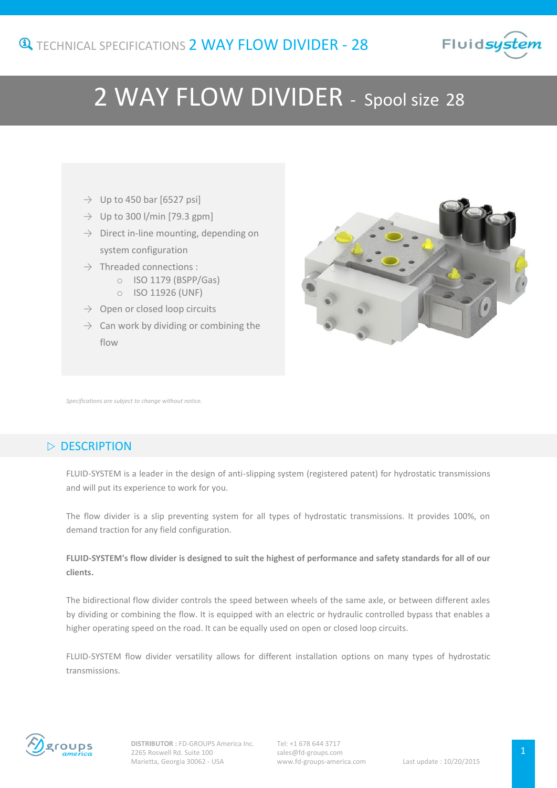

# 2 WAY FLOW DIVIDER - Spool size <sup>28</sup>

-

- $\rightarrow$  Up to 450 bar [6527 psi]
- $\rightarrow$  Up to 300 l/min [79.3 gpm]
- $\rightarrow$  Direct in-line mounting, depending on system configuration
- $\rightarrow$  Threaded connections :
	- o ISO 1179 (BSPP/Gas)
	- o ISO 11926 (UNF)
- $\rightarrow$  Open or closed loop circuits
- $\rightarrow$  Can work by dividing or combining the flow



*Specifications are subject to change without notice.*

## $\triangleright$  DESCRIPTION

FLUID-SYSTEM is a leader in the design of anti-slipping system (registered patent) for hydrostatic transmissions and will put its experience to work for you.

The flow divider is a slip preventing system for all types of hydrostatic transmissions. It provides 100%, on demand traction for any field configuration.

#### **FLUID-SYSTEM's flow divider is designed to suit the highest of performance and safety standards for all of our clients.**

The bidirectional flow divider controls the speed between wheels of the same axle, or between different axles by dividing or combining the flow. It is equipped with an electric or hydraulic controlled bypass that enables a higher operating speed on the road. It can be equally used on open or closed loop circuits.

FLUID-SYSTEM flow divider versatility allows for different installation options on many types of hydrostatic transmissions.

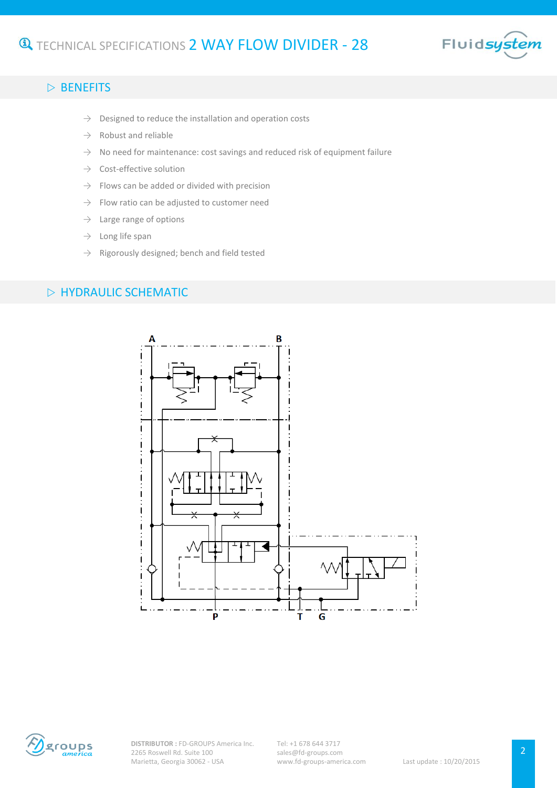

#### $\triangleright$  BENEFITS

- $\rightarrow$  Designed to reduce the installation and operation costs
- $\rightarrow$  Robust and reliable
- $\rightarrow$  No need for maintenance: cost savings and reduced risk of equipment failure
- $\rightarrow$  Cost-effective solution
- $\rightarrow$  Flows can be added or divided with precision
- $\rightarrow$  Flow ratio can be adjusted to customer need
- $\rightarrow$  Large range of options
- $\rightarrow$  Long life span
- $\rightarrow$  Rigorously designed; bench and field tested

#### $\triangleright$  HYDRAULIC SCHEMATIC





**DISTRIBUTOR :** FD-GROUPS America Inc. 2265 Roswell Rd. Suite 100 Marietta, Georgia 30062 - USA

Tel: +1 678 644 3717 sales@fd-groups.com www.fd-groups-america.com Last update : 10/20/2015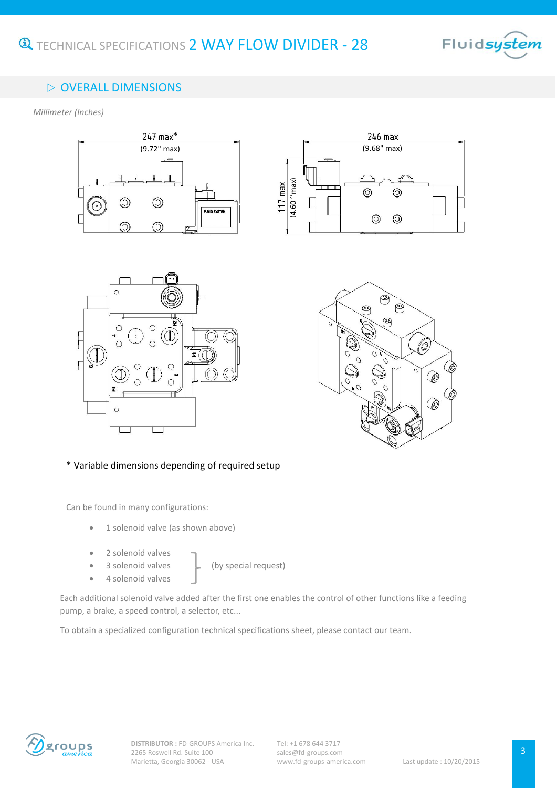

# $\triangleright$  OVERALL DIMENSIONS

*Millimeter (Inches)*









#### \* Variable dimensions depending of required setup

Can be found in many configurations:

- 1 solenoid valve (as shown above)
- 2 solenoid valves
- 

3 solenoid valves  $\Box$  (by special request)

4 solenoid valves

Each additional solenoid valve added after the first one enables the control of other functions like a feeding pump, a brake, a speed control, a selector, etc...

To obtain a specialized configuration technical specifications sheet, please contact our team.

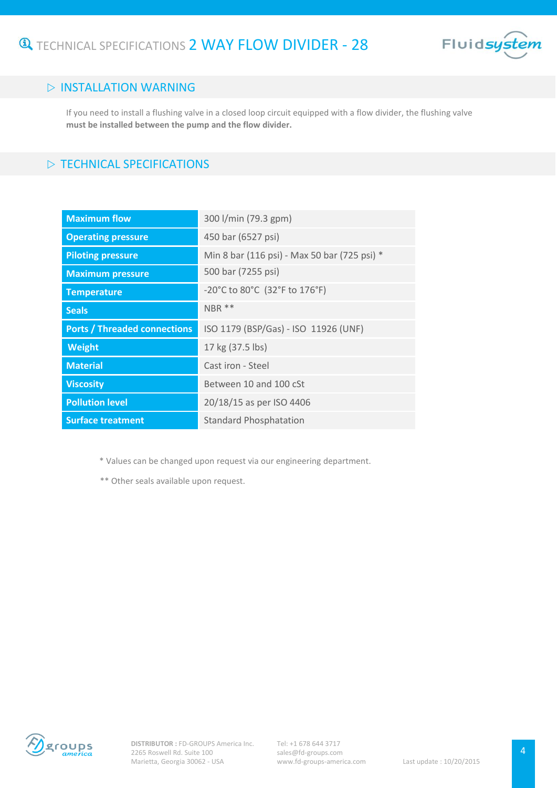

### $\triangleright$  INSTALLATION WARNING

If you need to install a flushing valve in a closed loop circuit equipped with a flow divider, the flushing valve **must be installed between the pump and the flow divider.**

## $\triangleright$  TECHNICAL SPECIFICATIONS

| <b>Maximum flow</b>                 | 300 l/min (79.3 gpm)                         |
|-------------------------------------|----------------------------------------------|
| <b>Operating pressure</b>           | 450 bar (6527 psi)                           |
| <b>Piloting pressure</b>            | Min 8 bar (116 psi) - Max 50 bar (725 psi) * |
| <b>Maximum pressure</b>             | 500 bar (7255 psi)                           |
| <b>Temperature</b>                  | -20°C to 80°C (32°F to 176°F)                |
| <b>Seals</b>                        | NBR **                                       |
| <b>Ports / Threaded connections</b> | ISO 1179 (BSP/Gas) - ISO 11926 (UNF)         |
| Weight                              | 17 kg (37.5 lbs)                             |
| <b>Material</b>                     | Cast iron - Steel                            |
| <b>Viscosity</b>                    | Between 10 and 100 cSt                       |
| <b>Pollution level</b>              | 20/18/15 as per ISO 4406                     |
| <b>Surface treatment</b>            | <b>Standard Phosphatation</b>                |

\* Values can be changed upon request via our engineering department.

\*\* Other seals available upon request.

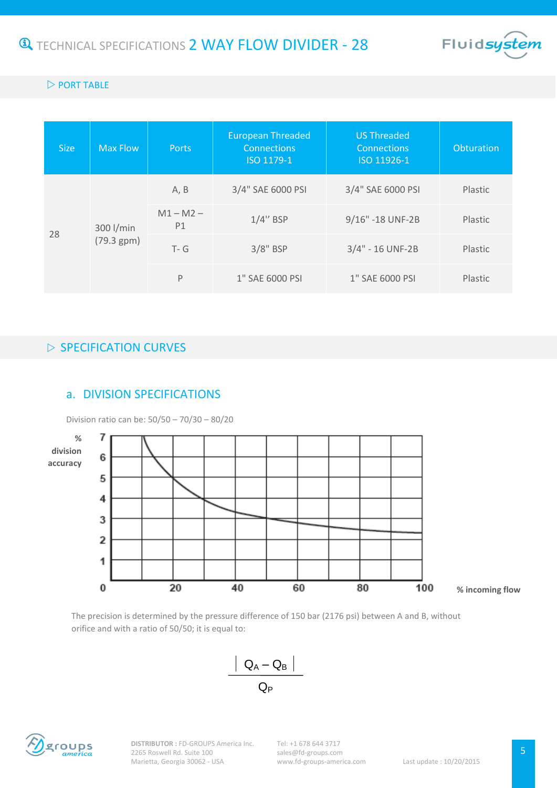

#### $\triangleright$  PORT TABLE

| <b>Size</b> | <b>Max Flow</b>         | <b>Ports</b>      | <b>European Threaded</b><br><b>Connections</b><br>ISO 1179-1 | <b>US Threaded</b><br><b>Connections</b><br>ISO 11926-1 | Obturation |
|-------------|-------------------------|-------------------|--------------------------------------------------------------|---------------------------------------------------------|------------|
|             |                         | A, B              | 3/4" SAE 6000 PSI                                            | 3/4" SAE 6000 PSI                                       | Plastic    |
| 28          | 300 l/min<br>(79.3 gpm) | $M1 - M2 -$<br>P1 | $1/4$ " BSP                                                  | 9/16" -18 UNF-2B                                        | Plastic    |
|             |                         | $T - G$           | $3/8"$ BSP                                                   | 3/4" - 16 UNF-2B                                        | Plastic    |
|             |                         | P                 | 1" SAE 6000 PSI                                              | 1" SAE 6000 PSI                                         | Plastic    |

## $\triangleright$  SPECIFICATION CURVES

#### a. DIVISION SPECIFICATIONS

Division ratio can be: 50/50 – 70/30 – 80/20



The precision is determined by the pressure difference of 150 bar (2176 psi) between A and B, without orifice and with a ratio of 50/50; it is equal to:



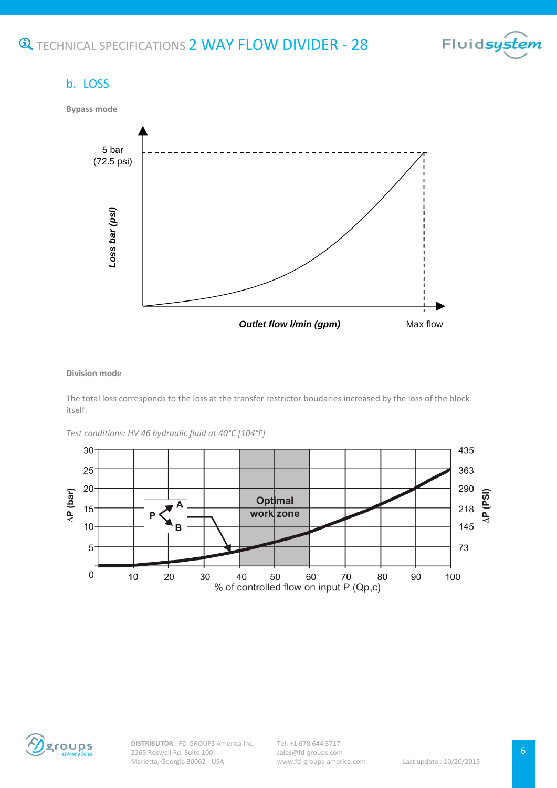

# b. LOSS



#### **Division mode**

The total loss corresponds to the loss at the transfer restrictor boudaries increased by the loss of the block itself.

*Test conditions: HV 46 hydraulic fluid at 40°C [104°F]*



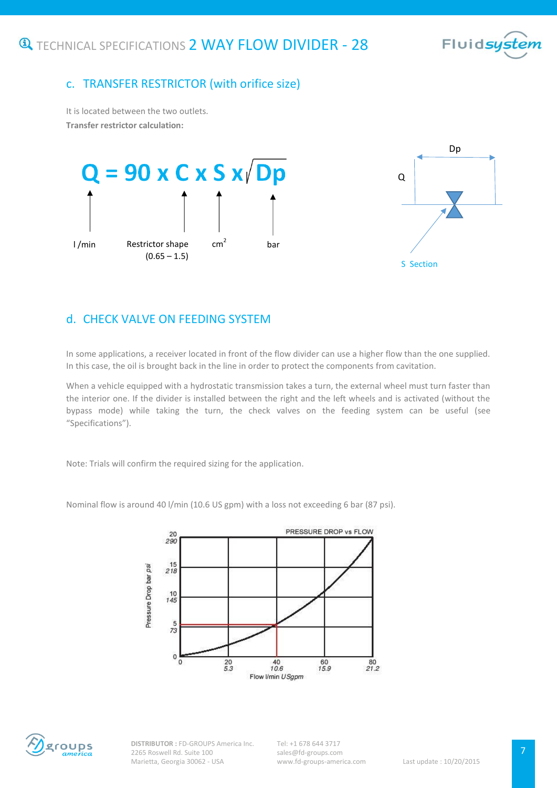

## c. TRANSFER RESTRICTOR (with orifice size)

It is located between the two outlets. **Transfer restrictor calculation:**



# d. CHECK VALVE ON FEEDING SYSTEM

In some applications, a receiver located in front of the flow divider can use a higher flow than the one supplied. In this case, the oil is brought back in the line in order to protect the components from cavitation.

When a vehicle equipped with a hydrostatic transmission takes a turn, the external wheel must turn faster than the interior one. If the divider is installed between the right and the left wheels and is activated (without the bypass mode) while taking the turn, the check valves on the feeding system can be useful (see "Specifications").

Note: Trials will confirm the required sizing for the application.

Nominal flow is around 40 l/min (10.6 US gpm) with a loss not exceeding 6 bar (87 psi).





**DISTRIBUTOR :** FD-GROUPS America Inc. 2265 Roswell Rd. Suite 100 Marietta, Georgia 30062 - USA

Tel: +1 678 644 3717 sales@fd-groups.com www.fd-groups-america.com Last update : 10/20/2015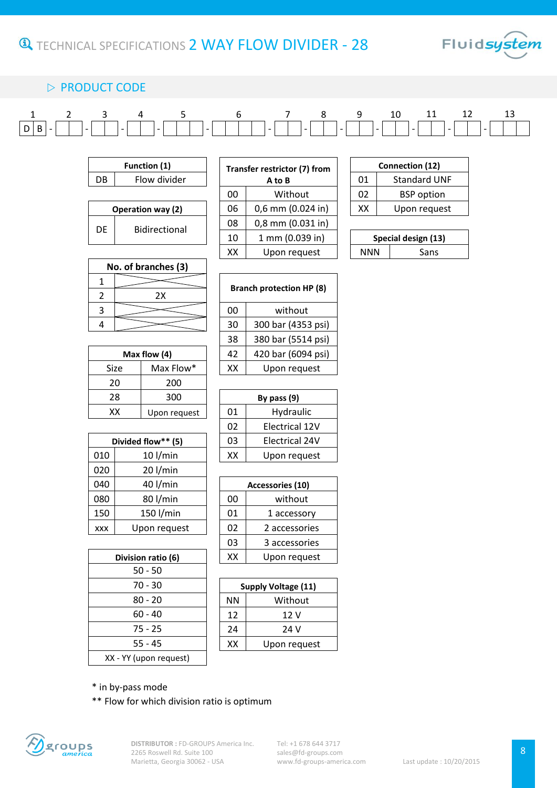

# $\triangleright$  PRODUCT CODE

|  |  | 1 2 3 4 5 6 7 8 9 10 11 12 13                                                                                                                                                                                                                                                                                                                          |  |  |  |  |
|--|--|--------------------------------------------------------------------------------------------------------------------------------------------------------------------------------------------------------------------------------------------------------------------------------------------------------------------------------------------------------|--|--|--|--|
|  |  | $\fbox{D[B] - } \fbox{D]} - \fbox{D} \fbox{D} - \fbox{D} \fbox{D} - \fbox{D} \fbox{D} - \fbox{D} \fbox{D} - \fbox{D} \fbox{D} - \fbox{D} \fbox{D} - \fbox{D} \fbox{D} - \fbox{D} \fbox{D} - \fbox{D} \fbox{D} - \fbox{D} \fbox{D} - \fbox{D} \fbox{D} - \fbox{D} \fbox{D} - \fbox{D} \fbox{D} \fbox{D} - \fbox{D} \fbox{D} \fbox{D} - \fbox{D} \fbox{$ |  |  |  |  |

| <b>Function (1)</b> |                          |  |  |  |
|---------------------|--------------------------|--|--|--|
| Flow divider<br>DB  |                          |  |  |  |
|                     |                          |  |  |  |
|                     |                          |  |  |  |
|                     | <b>Operation way (2)</b> |  |  |  |

| Function (1)      |              |    | Transfer restrictor (7) from |  | Connection (12)     |                     |  |
|-------------------|--------------|----|------------------------------|--|---------------------|---------------------|--|
| DB                | Flow divider |    | A to B                       |  | 01                  | <b>Standard UNF</b> |  |
|                   |              | 00 | Without                      |  | 02                  | <b>BSP</b> option   |  |
| Operation way (2) |              | 06 | $0,6$ mm $(0.024$ in)        |  | XХ                  | Upon request        |  |
| DE                |              |    | $0,8$ mm $(0.031$ in)        |  |                     |                     |  |
| Bidirectional     |              | 10 | 1 mm (0.039 in)              |  | Special design (13) |                     |  |
|                   |              | xх | Upon request                 |  | <b>NNN</b>          | Sans                |  |
|                   |              |    |                              |  |                     |                     |  |

**Branch protection HP (8)**

00 | without 30 300 bar (4353 psi) 38 380 bar (5514 psi) 42 420 bar (6094 psi)  $XX$  Upon request

| Connection (12) |                     |  |  |
|-----------------|---------------------|--|--|
| 01              | <b>Standard UNF</b> |  |  |
| 02              | <b>BSP</b> option   |  |  |
| XX              | Upon request        |  |  |

| Special design (13) |      |  |  |  |  |
|---------------------|------|--|--|--|--|
| NNN                 | Sans |  |  |  |  |

| No. of branches (3) |    |  |  |  |  |
|---------------------|----|--|--|--|--|
|                     |    |  |  |  |  |
| 2                   | 2X |  |  |  |  |
| ર                   |    |  |  |  |  |
|                     |    |  |  |  |  |

| 420 bar (6094 | 42 |              | Max flow $(4)$ |  |  |
|---------------|----|--------------|----------------|--|--|
| Upon reque    | xх | Max Flow*    | Size           |  |  |
|               |    | 200          | 20             |  |  |
| By pass $(9)$ |    | 300          | 28             |  |  |
| Hydraulic     | 01 | Upon request | xх             |  |  |
|               |    |              |                |  |  |

|            | Divided flow** (5) |  |    | <b>Electrical 24V</b> |
|------------|--------------------|--|----|-----------------------|
| 010        | $10$ l/min         |  | XX | Upon request          |
| 020        | $20$ l/min         |  |    |                       |
| 040        | 40 l/min           |  |    | Accessories (10)      |
| 080        | 80 l/min           |  | 00 | without               |
| 150        | 150 l/min          |  | 01 | 1 accessory           |
| <b>XXX</b> | Upon request       |  | 02 | 2 accessories         |

|                    | ΔU | zuu          |               |                       |  |  |
|--------------------|----|--------------|---------------|-----------------------|--|--|
|                    | 28 | 300          | By pass $(9)$ |                       |  |  |
|                    | KΧ | Upon request | 01            | Hydraulic             |  |  |
|                    |    |              | 02            | Electrical 12V        |  |  |
| Divided flow** (5) |    |              | 03            | <b>Electrical 24V</b> |  |  |
|                    |    | $10$ I/min   |               | Upon request          |  |  |

| 40 l/min           |    | Accessories (10) |  |  |  |
|--------------------|----|------------------|--|--|--|
| 80 l/min           | 00 | without          |  |  |  |
| 150 l/min          | 01 | 1 accessory      |  |  |  |
| Upon request       | 02 | 2 accessories    |  |  |  |
|                    | 03 | 3 accessories    |  |  |  |
| Division ratio (6) | xх | Upon request     |  |  |  |
|                    |    |                  |  |  |  |

| Division ratio (6)     |  |  |  |
|------------------------|--|--|--|
| 50 - 50                |  |  |  |
| 70 - 30                |  |  |  |
| $80 - 20$              |  |  |  |
| 60 - 40                |  |  |  |
| 75 - 25                |  |  |  |
| $55 - 45$              |  |  |  |
| XX - YY (upon request) |  |  |  |

| 70 - 30 | <b>Supply Voltage (11)</b> |              |  |
|---------|----------------------------|--------------|--|
| 80 - 20 | <b>NN</b>                  | Without      |  |
| 60 - 40 | 12                         | 12 V         |  |
| 75 - 25 | 24                         | 24 V         |  |
| 55 - 45 | XX                         | Upon request |  |
|         |                            |              |  |

\* in by-pass mode

\*\* Flow for which division ratio is optimum



**DISTRIBUTOR :** FD-GROUPS America Inc. 2265 Roswell Rd. Suite 100 Marietta, Georgia 30062 - USA

Tel: +1 678 644 3717 sales@fd-groups.com www.fd-groups-america.com Last update : 10/20/2015